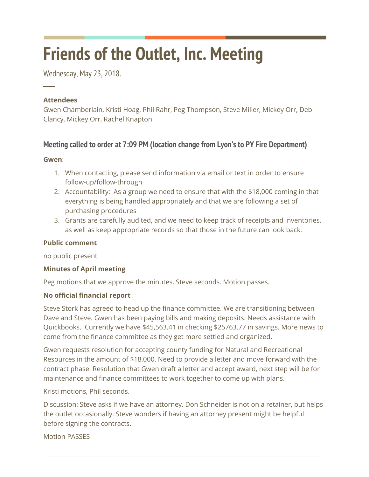# **Friends of the Outlet, Inc. Meeting**

Wednesday, May 23, 2018.

# **Attendees**

─

Gwen Chamberlain, Kristi Hoag, Phil Rahr, Peg Thompson, Steve Miller, Mickey Orr, Deb Clancy, Mickey Orr, Rachel Knapton

# **Meeting called to order at 7:09 PM (location change from Lyon's to PY Fire Department)**

## **Gwen**:

- 1. When contacting, please send information via email or text in order to ensure follow-up/follow-through
- 2. Accountability: As a group we need to ensure that with the \$18,000 coming in that everything is being handled appropriately and that we are following a set of purchasing procedures
- 3. Grants are carefully audited, and we need to keep track of receipts and inventories, as well as keep appropriate records so that those in the future can look back.

# **Public comment**

no public present

# **Minutes of April meeting**

Peg motions that we approve the minutes, Steve seconds. Motion passes.

## **No official financial report**

Steve Stork has agreed to head up the finance committee. We are transitioning between Dave and Steve. Gwen has been paying bills and making deposits. Needs assistance with Quickbooks. Currently we have \$45,563.41 in checking \$25763.77 in savings. More news to come from the finance committee as they get more settled and organized.

Gwen requests resolution for accepting county funding for Natural and Recreational Resources in the amount of \$18,000. Need to provide a letter and move forward with the contract phase. Resolution that Gwen draft a letter and accept award, next step will be for maintenance and finance committees to work together to come up with plans.

Kristi motions, Phil seconds.

Discussion: Steve asks if we have an attorney. Don Schneider is not on a retainer, but helps the outlet occasionally. Steve wonders if having an attorney present might be helpful before signing the contracts.

Motion PASSES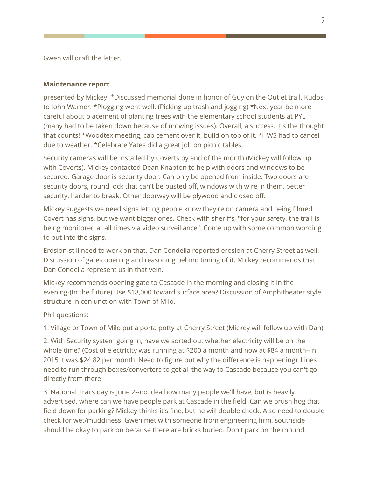Gwen will draft the letter.

#### **Maintenance report**

presented by Mickey. \*Discussed memorial done in honor of Guy on the Outlet trail. Kudos to John Warner. \*Plogging went well. (Picking up trash and jogging) \*Next year be more careful about placement of planting trees with the elementary school students at PYE (many had to be taken down because of mowing issues). Overall, a success. It's the thought that counts! \*Woodtex meeting, cap cement over it, build on top of it. \*HWS had to cancel due to weather. \*Celebrate Yates did a great job on picnic tables.

Security cameras will be installed by Coverts by end of the month (Mickey will follow up with Coverts). Mickey contacted Dean Knapton to help with doors and windows to be secured. Garage door is security door. Can only be opened from inside. Two doors are security doors, round lock that can't be busted off, windows with wire in them, better security, harder to break. Other doorway will be plywood and closed off.

Mickey suggests we need signs letting people know they're on camera and being filmed. Covert has signs, but we want bigger ones. Check with sheriffs, "for your safety, the trail is being monitored at all times via video surveillance". Come up with some common wording to put into the signs.

Erosion-still need to work on that. Dan Condella reported erosion at Cherry Street as well. Discussion of gates opening and reasoning behind timing of it. Mickey recommends that Dan Condella represent us in that vein.

Mickey recommends opening gate to Cascade in the morning and closing it in the evening-(In the future) Use \$18,000 toward surface area? Discussion of Amphitheater style structure in conjunction with Town of Milo.

Phil questions:

1. Village or Town of Milo put a porta potty at Cherry Street (Mickey will follow up with Dan)

2. With Security system going in, have we sorted out whether electricity will be on the whole time? (Cost of electricity was running at \$200 a month and now at \$84 a month--in 2015 it was \$24.82 per month. Need to figure out why the difference is happening). Lines need to run through boxes/converters to get all the way to Cascade because you can't go directly from there

3. National Trails day is June 2--no idea how many people we'll have, but is heavily advertised, where can we have people park at Cascade in the field. Can we brush hog that field down for parking? Mickey thinks it's fine, but he will double check. Also need to double check for wet/muddiness. Gwen met with someone from engineering firm, southside should be okay to park on because there are bricks buried. Don't park on the mound.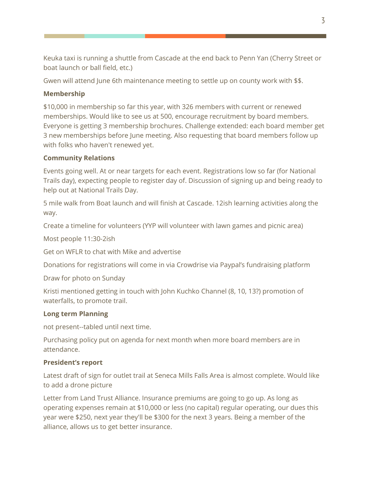Keuka taxi is running a shuttle from Cascade at the end back to Penn Yan (Cherry Street or boat launch or ball field, etc.)

Gwen will attend June 6th maintenance meeting to settle up on county work with \$\$.

# **Membership**

\$10,000 in membership so far this year, with 326 members with current or renewed memberships. Would like to see us at 500, encourage recruitment by board members. Everyone is getting 3 membership brochures. Challenge extended: each board member get 3 new memberships before June meeting. Also requesting that board members follow up with folks who haven't renewed yet.

## **Community Relations**

Events going well. At or near targets for each event. Registrations low so far (for National Trails day), expecting people to register day of. Discussion of signing up and being ready to help out at National Trails Day.

5 mile walk from Boat launch and will finish at Cascade. 12ish learning activities along the way.

Create a timeline for volunteers (YYP will volunteer with lawn games and picnic area)

Most people 11:30-2ish

Get on WFLR to chat with Mike and advertise

Donations for registrations will come in via Crowdrise via Paypal's fundraising platform

Draw for photo on Sunday

Kristi mentioned getting in touch with John Kuchko Channel (8, 10, 13?) promotion of waterfalls, to promote trail.

## **Long term Planning**

not present--tabled until next time.

Purchasing policy put on agenda for next month when more board members are in attendance.

## **President's report**

Latest draft of sign for outlet trail at Seneca Mills Falls Area is almost complete. Would like to add a drone picture

Letter from Land Trust Alliance. Insurance premiums are going to go up. As long as operating expenses remain at \$10,000 or less (no capital) regular operating, our dues this year were \$250, next year they'll be \$300 for the next 3 years. Being a member of the alliance, allows us to get better insurance.